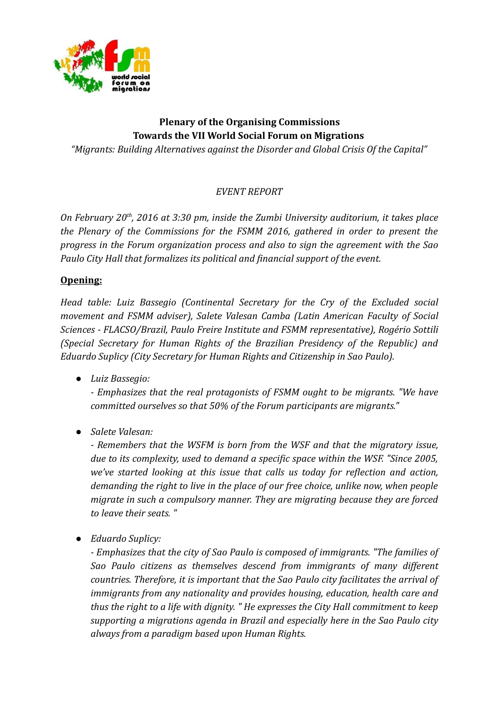

# **Plenary of the Organising Commissions Towards the VII World Social Forum on Migrations**

*"Migrants: Building Alternatives against the Disorder and Global Crisis Of the Capital"*

# *EVENT REPORT*

*On February 20th, 2016 at 3:30 pm, inside the Zumbi University auditorium, it takes place the Plenary of the Commissions for the FSMM 2016, gathered in order to present the progress in the Forum organization process and also to sign the agreement with the Sao Paulo City Hall that formalizes its political and financial support of the event.*

### **Opening:**

*Head table: Luiz Bassegio (Continental Secretary for the Cry of the Excluded social movement and FSMM adviser), Salete Valesan Camba (Latin American Faculty of Social Sciences - FLACSO/Brazil, Paulo Freire Institute and FSMM representative), Rogério Sottili (Special Secretary for Human Rights of the Brazilian Presidency of the Republic) and Eduardo Suplicy (City Secretary for Human Rights and Citizenship in Sao Paulo).* 

● *Luiz Bassegio:*

*- Emphasizes that the real protagonists of FSMM ought to be migrants. "We have committed ourselves so that 50% of the Forum participants are migrants."*

● *Salete Valesan:* 

*- Remembers that the WSFM is born from the WSF and that the migratory issue, due to its complexity, used to demand a specific space within the WSF. "Since 2005, we've started looking at this issue that calls us today for reflection and action, demanding the right to live in the place of our free choice, unlike now, when people migrate in such a compulsory manner. They are migrating because they are forced to leave their seats. "* 

● *Eduardo Suplicy:*

*- Emphasizes that the city of Sao Paulo is composed of immigrants. "The families of Sao Paulo citizens as themselves descend from immigrants of many different countries. Therefore, it is important that the Sao Paulo city facilitates the arrival of immigrants from any nationality and provides housing, education, health care and thus the right to a life with dignity. " He expresses the City Hall commitment to keep supporting a migrations agenda in Brazil and especially here in the Sao Paulo city always from a paradigm based upon Human Rights.*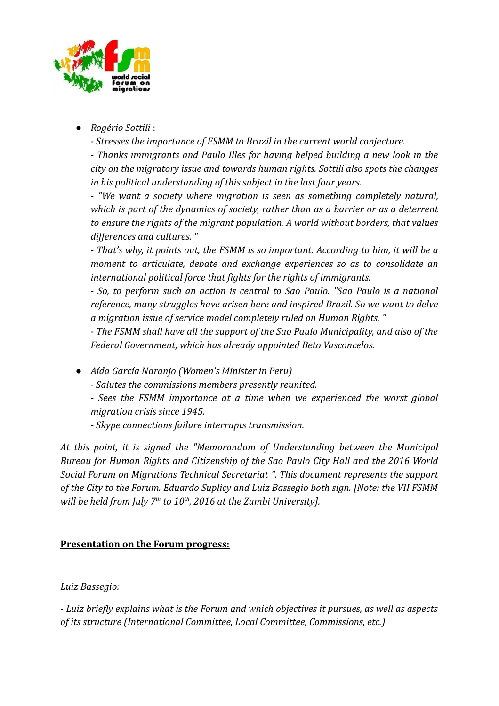

● *Rogério Sottili* :

*- Stresses the importance of FSMM to Brazil in the current world conjecture.*

*- Thanks immigrants and Paulo Illes for having helped building a new look in the city on the migratory issue and towards human rights. Sottili also spots the changes in his political understanding of this subject in the last four years.*

*- "We want a society where migration is seen as something completely natural, which is part of the dynamics of society, rather than as a barrier or as a deterrent to ensure the rights of the migrant population. A world without borders, that values differences and cultures. "*

*- That's why, it points out, the FSMM is so important. According to him, it will be a moment to articulate, debate and exchange experiences so as to consolidate an international political force that fights for the rights of immigrants.*

*- So, to perform such an action is central to Sao Paulo. "Sao Paulo is a national reference, many struggles have arisen here and inspired Brazil. So we want to delve a migration issue of service model completely ruled on Human Rights. "*

*- The FSMM shall have all the support of the Sao Paulo Municipality, and also of the Federal Government, which has already appointed Beto Vasconcelos.*

● *Aída García Naranjo (Women's Minister in Peru)*

*- Salutes the commissions members presently reunited.* 

*- Sees the FSMM importance at a time when we experienced the worst global migration crisis since 1945.*

*- Skype connections failure interrupts transmission.*

*At this point, it is signed the "Memorandum of Understanding between the Municipal Bureau for Human Rights and Citizenship of the Sao Paulo City Hall and the 2016 World Social Forum on Migrations Technical Secretariat ". This document represents the support of the City to the Forum. Eduardo Suplicy and Luiz Bassegio both sign. [Note: the VII FSMM will be held from July 7th to 10th, 2016 at the Zumbi University].*

### **Presentation on the Forum progress:**

### *Luiz Bassegio:*

*- Luiz briefly explains what is the Forum and which objectives it pursues, as well as aspects of its structure (International Committee, Local Committee, Commissions, etc.)*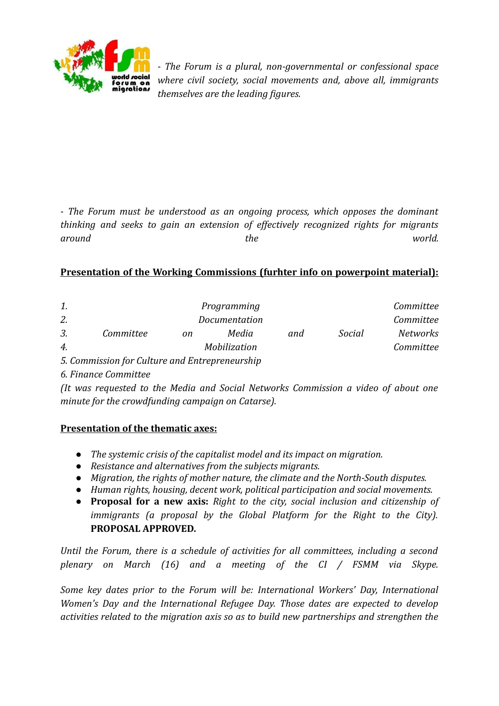

*- The Forum is a plural, non-governmental or confessional space where civil society, social movements and, above all, immigrants themselves are the leading figures.*

*- The Forum must be understood as an ongoing process, which opposes the dominant thinking and seeks to gain an extension of effectively recognized rights for migrants around the world.*

#### **Presentation of the Working Commissions (furhter info on powerpoint material):**

| 1.            | Programming                                     |    |       |     |        | Committee       |
|---------------|-------------------------------------------------|----|-------|-----|--------|-----------------|
| 2.            | Documentation                                   |    |       |     |        | Committee       |
| 3.            | Committee                                       | on | Media | and | Social | <b>Networks</b> |
| 4.            | Mobilization                                    |    |       |     |        | Committee       |
| $\sim$ $\sim$ | $\cdot$ $\cdot$ $\cdot$ $\cdot$ $\cdot$ $\cdot$ |    |       |     |        |                 |

- *5. Commission for Culture and Entrepreneurship*
- *6. Finance Committee*

*(It was requested to the Media and Social Networks Commission a video of about one minute for the crowdfunding campaign on Catarse).*

#### **Presentation of the thematic axes:**

- *The systemic crisis of the capitalist model and its impact on migration.*
- *Resistance and alternatives from the subjects migrants.*
- *Migration, the rights of mother nature, the climate and the North-South disputes.*
- *Human rights, housing, decent work, political participation and social movements.*
- **Proposal for a new axis:** *Right to the city, social inclusion and citizenship of immigrants (a proposal by the Global Platform for the Right to the City).* **PROPOSAL APPROVED.**

*Until the Forum, there is a schedule of activities for all committees, including a second plenary on March (16) and a meeting of the CI / FSMM via Skype.*

*Some key dates prior to the Forum will be: International Workers' Day, International Women's Day and the International Refugee Day. Those dates are expected to develop activities related to the migration axis so as to build new partnerships and strengthen the*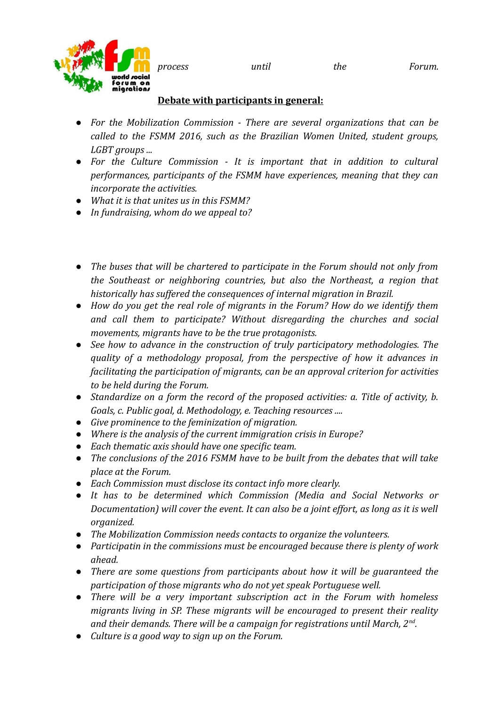*process until the Forum.*



# **Debate with participants in general:**

- *For the Mobilization Commission There are several organizations that can be called to the FSMM 2016, such as the Brazilian Women United, student groups, LGBT groups ...*
- *For the Culture Commission It is important that in addition to cultural performances, participants of the FSMM have experiences, meaning that they can incorporate the activities.*
- *What it is that unites us in this FSMM?*
- *In fundraising, whom do we appeal to?*
- *The buses that will be chartered to participate in the Forum should not only from the Southeast or neighboring countries, but also the Northeast, a region that historically has suffered the consequences of internal migration in Brazil.*
- *How do you get the real role of migrants in the Forum? How do we identify them and call them to participate? Without disregarding the churches and social movements, migrants have to be the true protagonists.*
- *See how to advance in the construction of truly participatory methodologies. The quality of a methodology proposal, from the perspective of how it advances in facilitating the participation of migrants, can be an approval criterion for activities to be held during the Forum.*
- *Standardize on a form the record of the proposed activities: a. Title of activity, b. Goals, c. Public goal, d. Methodology, e. Teaching resources ....*
- *Give prominence to the feminization of migration.*
- *Where is the analysis of the current immigration crisis in Europe?*
- *Each thematic axis should have one specific team.*
- *The conclusions of the 2016 FSMM have to be built from the debates that will take place at the Forum.*
- *Each Commission must disclose its contact info more clearly.*
- *It has to be determined which Commission (Media and Social Networks or Documentation) will cover the event. It can also be a joint effort, as long as it is well organized.*
- *The Mobilization Commission needs contacts to organize the volunteers.*
- *Participatin in the commissions must be encouraged because there is plenty of work ahead.*
- *There are some questions from participants about how it will be guaranteed the participation of those migrants who do not yet speak Portuguese well.*
- *There will be a very important subscription act in the Forum with homeless migrants living in SP. These migrants will be encouraged to present their reality and their demands. There will be a campaign for registrations until March, 2nd .*
- *Culture is a good way to sign up on the Forum.*